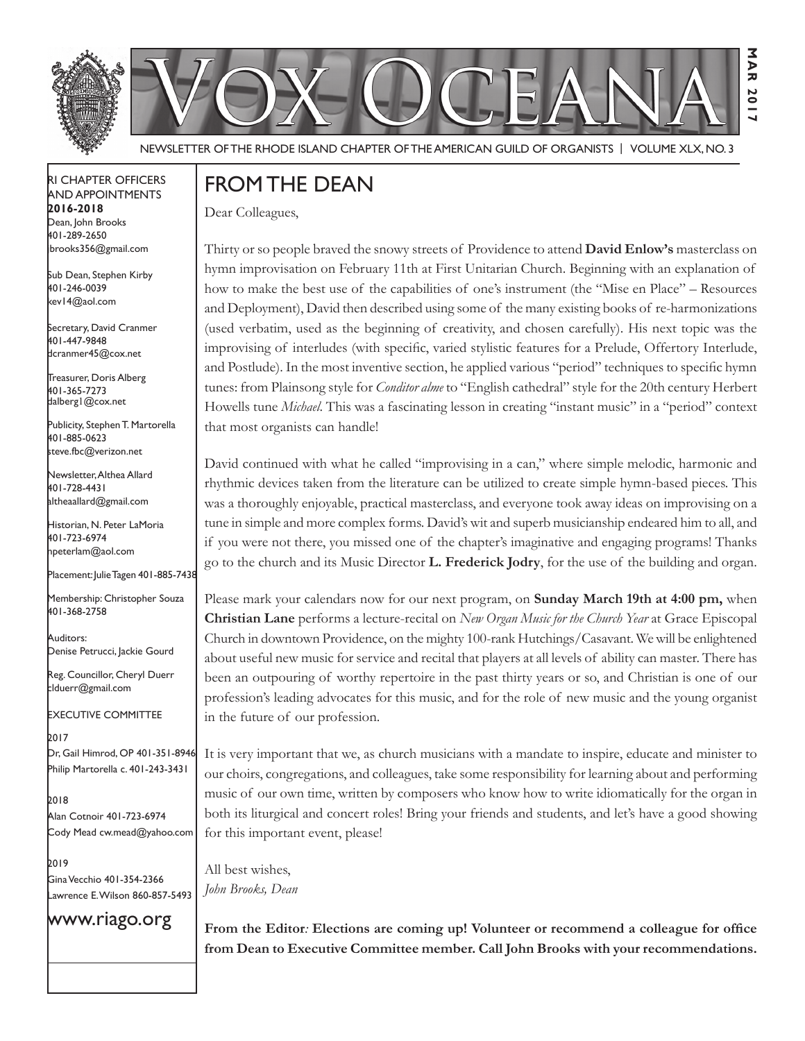



Newsletter of the Rhode Island Chapter of the American Guild of OrganistS | Volume XLX, No. 3

#### RI Chapter Officers and Appointments **2016-2018** Dean, John Brooks 401-289-2650

Sub Dean, Stephen Kirby 401-246-0039 kev14@aol.com

jbrooks356@gmail.com

Secretary, David Cranmer 401-447-9848 dcranmer45@cox.net

Treasurer, Doris Alberg 401-365-7273 dalberg1@cox.net

I Publicity, Stephen T. Martorella 401-885-0623 steve.fbc@verizon.net

Newsletter, Althea Allard 401-728-4431 altheaallard@gmail.com

Historian, N. Peter LaMoria 401-723-6974 npeterlam@aol.com

Placement: Julie Tagen 401-885-7438

Membership: Christopher Souza 401-368-2758

Auditors: Denise Petrucci, Jackie Gourd

Reg. Councillor, Cheryl Duerr clduerr@gmail.com

Executive Committee

2017 Dr, Gail Himrod, OP 401-351-8946 Philip Martorella c. 401-243-3431

2018 Alan Cotnoir 401-723-6974 Cody Mead cw.mead@yahoo.com

2019 Gina Vecchio 401-354-2366 Lawrence E. Wilson 860-857-5493

### www.riago.org

Dear Colleagues,

FROM THE DEAN

Thirty or so people braved the snowy streets of Providence to attend **David Enlow's** masterclass on hymn improvisation on February 11th at First Unitarian Church. Beginning with an explanation of how to make the best use of the capabilities of one's instrument (the "Mise en Place" – Resources and Deployment), David then described using some of the many existing books of re-harmonizations (used verbatim, used as the beginning of creativity, and chosen carefully). His next topic was the improvising of interludes (with specific, varied stylistic features for a Prelude, Offertory Interlude, and Postlude). In the most inventive section, he applied various "period" techniques to specific hymn tunes: from Plainsong style for *Conditor alme* to "English cathedral" style for the 20th century Herbert Howells tune *Michael*. This was a fascinating lesson in creating "instant music" in a "period" context that most organists can handle!

**Mar 2017**

Σ う<br>ス 20

David continued with what he called "improvising in a can," where simple melodic, harmonic and rhythmic devices taken from the literature can be utilized to create simple hymn-based pieces. This was a thoroughly enjoyable, practical masterclass, and everyone took away ideas on improvising on a tune in simple and more complex forms. David's wit and superb musicianship endeared him to all, and if you were not there, you missed one of the chapter's imaginative and engaging programs! Thanks go to the church and its Music Director **L. Frederick Jodry**, for the use of the building and organ.

Please mark your calendars now for our next program, on **Sunday March 19th at 4:00 pm,** when **Christian Lane** performs a lecture-recital on *New Organ Music for the Church Year* at Grace Episcopal Church in downtown Providence, on the mighty 100-rank Hutchings/Casavant. We will be enlightened about useful new music for service and recital that players at all levels of ability can master. There has been an outpouring of worthy repertoire in the past thirty years or so, and Christian is one of our profession's leading advocates for this music, and for the role of new music and the young organist in the future of our profession.

It is very important that we, as church musicians with a mandate to inspire, educate and minister to our choirs, congregations, and colleagues, take some responsibility for learning about and performing music of our own time, written by composers who know how to write idiomatically for the organ in both its liturgical and concert roles! Bring your friends and students, and let's have a good showing for this important event, please!

All best wishes, *John Brooks, Dean*

**From the Editor***:* **Elections are coming up! Volunteer or recommend a colleague for office from Dean to Executive Committee member. Call John Brooks with your recommendations.**